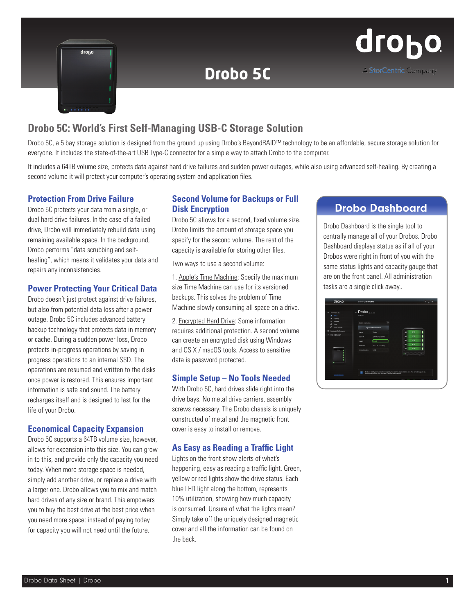

# **Drobo 5C**

# **Drobo 5C: World's First Self-Managing USB-C Storage Solution**

Drobo 5C, a 5 bay storage solution is designed from the ground up using Drobo's BeyondRAID™ technology to be an affordable, secure storage solution for everyone. It includes the state-of-the-art USB Type-C connector for a simple way to attach Drobo to the computer.

It includes a 64TB volume size, protects data against hard drive failures and sudden power outages, while also using advanced self-healing. By creating a second volume it will protect your computer's operating system and application files.

### **Protection From Drive Failure**

Drobo 5C protects your data from a single, or dual hard drive failures. In the case of a failed drive, Drobo will immediately rebuild data using remaining available space. In the background, Drobo performs "data scrubbing and selfhealing", which means it validates your data and repairs any inconsistencies.

#### **Power Protecting Your Critical Data**

Drobo doesn't just protect against drive failures, but also from potential data loss after a power outage. Drobo 5C includes advanced battery backup technology that protects data in memory or cache. During a sudden power loss, Drobo protects in-progress operations by saving in progress operations to an internal SSD. The operations are resumed and written to the disks once power is restored. This ensures important information is safe and sound. The battery recharges itself and is designed to last for the life of your Drobo.

#### **Economical Capacity Expansion**

Drobo 5C supports a 64TB volume size, however, allows for expansion into this size. You can grow in to this, and provide only the capacity you need today. When more storage space is needed, simply add another drive, or replace a drive with a larger one. Drobo allows you to mix and match hard drives of any size or brand. This empowers you to buy the best drive at the best price when you need more space; instead of paying today for capacity you will not need until the future.

#### **Second Volume for Backups or Full Disk Encryption**

Drobo 5C allows for a second, fixed volume size. Drobo limits the amount of storage space you specify for the second volume. The rest of the capacity is available for storing other files.

Two ways to use a second volume:

1. Apple's Time Machine: Specify the maximum size Time Machine can use for its versioned backups. This solves the problem of Time Machine slowly consuming all space on a drive.

2. Encrypted Hard Drive: Some information requires additional protection. A second volume can create an encrypted disk using Windows and OS X / macOS tools. Access to sensitive data is password protected.

#### **Simple Setup – No Tools Needed**

With Drobo 5C, hard drives slide right into the drive bays. No metal drive carriers, assembly screws necessary. The Drobo chassis is uniquely constructed of metal and the magnetic front cover is easy to install or remove.

#### **As Easy as Reading a Traffic Light**

Lights on the front show alerts of what's happening, easy as reading a traffic light. Green, yellow or red lights show the drive status. Each blue LED light along the bottom, represents 10% utilization, showing how much capacity is consumed. Unsure of what the lights mean? Simply take off the uniquely designed magnetic cover and all the information can be found on the back.

# Drobo Dashboard

Drobo Dashboard is the single tool to centrally manage all of your Drobos. Drobo Dashboard displays status as if all of your Drobos were right in front of you with the same status lights and capacity gauge that are on the front panel. All administration tasks are a single click away..

| <b>H</b><br>All Orobon (2)<br>all donn  | C Drobo <sub>(Distorted</sub><br><b>Status</b> |   |                      |  |
|-----------------------------------------|------------------------------------------------|---|----------------------|--|
| Capacity                                |                                                |   |                      |  |
| <b>VINDINAK</b><br>Toyota               | System Information                             |   |                      |  |
| Drobo Settings<br>۰                     | System Information                             |   |                      |  |
| <b>Designant Preferences</b><br>$\circ$ | Dobe<br>Name                                   |   | 6 TB                 |  |
| ٠<br>Heiz and Support                   | DRA163122100053<br><b>Serial #</b>             |   | 178                  |  |
|                                         | Good<br><b>Health</b>                          | ь | 110                  |  |
|                                         | 3.5.1 (11.42.83007)<br>Femane                  | ۰ | $6$ TB               |  |
| -                                       | 1150<br>Active Interface                       | e | $1$ TB               |  |
|                                         |                                                |   | $\ddot{\phantom{a}}$ |  |
|                                         |                                                |   |                      |  |
| ×.                                      |                                                |   |                      |  |
|                                         |                                                |   |                      |  |